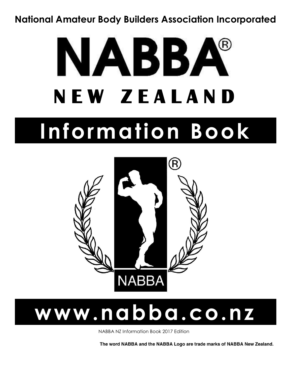**National Amateur Body Builders Association Incorporated** 

# **N E W Z E A L A N D Information Book**



# **www.nabba.co.nz**

NABBA NZ Information Book 2017 Edition

The word NABBA and the NABBA Logo are trade marks of NABBA New Zealand.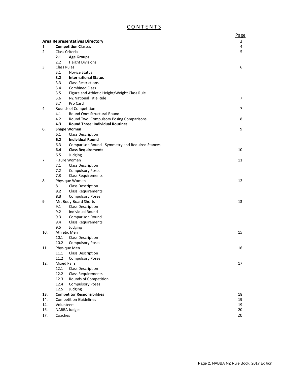# CONTENTS

|     |                                                         | Page     |  |  |
|-----|---------------------------------------------------------|----------|--|--|
|     | <b>Area Representatives Directory</b>                   | 3        |  |  |
| 1.  | <b>Competition Classes</b>                              | 4        |  |  |
| 2.  | Class Criteria                                          | 5        |  |  |
|     | 2.1<br><b>Age Groups</b>                                |          |  |  |
|     | 2.2<br><b>Height Divisions</b>                          |          |  |  |
| 3.  | <b>Class Rules</b>                                      | 6        |  |  |
|     | 3.1<br><b>Novice Status</b>                             |          |  |  |
|     | 3.2<br><b>International Status</b>                      |          |  |  |
|     | 3.3<br><b>Class Restrictions</b>                        |          |  |  |
|     | 3.4<br><b>Combined Class</b>                            |          |  |  |
|     | 3.5<br>Figure and Athletic Height/Weight Class Rule     |          |  |  |
|     | 3.6<br>NZ National Title Rule                           | 7        |  |  |
|     | 3.7<br>Pro Card                                         |          |  |  |
| 4.  | Rounds of Competition                                   | 7        |  |  |
|     | Round One: Structural Round<br>4.1                      |          |  |  |
|     | 4.2<br>Round Two: Compulsory Posing Comparisons         | 8        |  |  |
|     | 4.3<br><b>Round Three: Individual Routines</b>          |          |  |  |
| 6.  | <b>Shape Women</b>                                      | 9        |  |  |
|     | 6.1<br><b>Class Description</b>                         |          |  |  |
|     | 6.2<br><b>Individual Round</b>                          |          |  |  |
|     | 6.3<br>Comparison Round - Symmetry and Required Stances |          |  |  |
|     | 6.4<br><b>Class Requirements</b>                        | 10       |  |  |
|     | 6.5<br>Judging                                          |          |  |  |
| 7.  | Figure Women                                            | 11       |  |  |
|     | <b>Class Description</b><br>7.1                         |          |  |  |
|     | 7.2<br><b>Compulsory Poses</b>                          |          |  |  |
|     | 7.3<br>Class Requirements                               |          |  |  |
| 8.  | Physique Women                                          | 12       |  |  |
|     | 8.1<br><b>Class Description</b>                         |          |  |  |
|     | 8.2<br><b>Class Requirements</b>                        |          |  |  |
|     | 8.3<br><b>Compulsory Poses</b>                          |          |  |  |
| 9.  | Mr. Body-Board Shorts                                   | 13       |  |  |
|     | 9.1<br><b>Class Description</b>                         |          |  |  |
|     | 9.2<br>Individual Round                                 |          |  |  |
|     | 9.3<br><b>Comparison Round</b>                          |          |  |  |
|     | 9.4<br>Class Requirements                               |          |  |  |
|     | 9.5<br>Judging                                          |          |  |  |
| 10. | <b>Athletic Men</b>                                     | 15       |  |  |
|     | 10.1<br><b>Class Description</b>                        |          |  |  |
|     | 10.2<br><b>Compulsory Poses</b>                         | 16       |  |  |
| 11. | Physique Men                                            |          |  |  |
|     | 11.1<br><b>Class Description</b>                        |          |  |  |
|     | 11.2<br><b>Compulsory Poses</b>                         |          |  |  |
| 12. | <b>Mixed Pairs</b>                                      | 17       |  |  |
|     | 12.1<br><b>Class Description</b>                        |          |  |  |
|     | 12.2<br><b>Class Requirements</b>                       |          |  |  |
|     | 12.3<br>Rounds of Competition                           |          |  |  |
|     | 12.4<br><b>Compulsory Poses</b>                         |          |  |  |
|     | 12.5<br>Judging                                         |          |  |  |
| 13. | <b>Competitor Responsibilities</b>                      | 18       |  |  |
| 14. | <b>Competition Guidelines</b>                           | 19       |  |  |
| 14. | Volunteers                                              | 19<br>20 |  |  |
| 16. | <b>NABBA Judges</b>                                     |          |  |  |
| 17. | Coaches                                                 |          |  |  |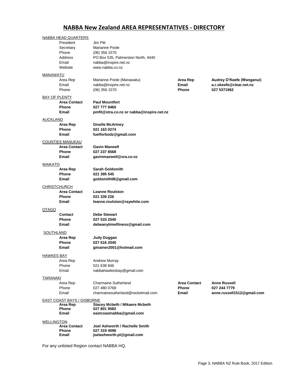# **NABBA New Zealand AREA REPRESENTATIVES - DIRECTORY**

|                      | <u>NABBA HEAD QUARTERS</u>             |                                                            |                                     |                                     |
|----------------------|----------------------------------------|------------------------------------------------------------|-------------------------------------|-------------------------------------|
|                      | President                              | Jim Pitt                                                   |                                     |                                     |
|                      | Secretary                              | Marianne Poole                                             |                                     |                                     |
|                      | Phone                                  | $(06)$ 356 1570                                            |                                     |                                     |
|                      | Address<br>Email                       | PO Box 535, Palmerston North, 4440<br>nabba@inspire.net.nz |                                     |                                     |
|                      | Website                                | www.nabba.co.nz                                            |                                     |                                     |
|                      |                                        |                                                            |                                     |                                     |
| MANAWATU             | Area Rep                               | Marianne Poole (Manawatu)                                  | Area Rep                            | Audrey O'Keefe (Wanganui)           |
|                      | Email                                  | nabba@inspire.net.nz                                       | Email                               | a.r.okeefe@clear.net.nz             |
|                      | Phone                                  | $(06)$ 356 1570                                            | <b>Phone</b>                        | 027 5371962                         |
|                      |                                        |                                                            |                                     |                                     |
| <b>BAY OF PLENTY</b> | <b>Area Contact</b>                    | <b>Paul Mountfort</b>                                      |                                     |                                     |
|                      | <b>Phone</b>                           | 027 777 9460                                               |                                     |                                     |
|                      | Email                                  | pmfit@xtra.co.nz or nabba@inspire.net.nz                   |                                     |                                     |
| <b>AUCKLAND</b>      |                                        |                                                            |                                     |                                     |
|                      | Area Rep                               | <b>Giselle McArtney</b>                                    |                                     |                                     |
|                      | <b>Phone</b>                           | 021 163 0274                                               |                                     |                                     |
|                      | Email                                  | fuelforbodz@gmail.com                                      |                                     |                                     |
|                      | <b>COUNTIES MANUKAU</b>                |                                                            |                                     |                                     |
|                      | <b>Area Contact</b>                    | <b>Gavin Maxwell</b>                                       |                                     |                                     |
|                      | <b>Phone</b>                           | 027 237 8568                                               |                                     |                                     |
|                      | Email                                  | gavinmaxwell@xra.co.nz                                     |                                     |                                     |
| WAIKATO              |                                        |                                                            |                                     |                                     |
|                      | Area Rep                               | <b>Sarah Goldsmith</b>                                     |                                     |                                     |
|                      | <b>Phone</b>                           | 021 395 545                                                |                                     |                                     |
|                      | Email                                  | goldsmith08@gmail.com                                      |                                     |                                     |
| <b>CHRISTCHURCH</b>  |                                        |                                                            |                                     |                                     |
|                      | <b>Area Contact</b>                    | <b>Leanne Roulston</b>                                     |                                     |                                     |
|                      | <b>Phone</b><br>Email                  | 021 339 226                                                |                                     |                                     |
|                      |                                        | leanne.roulston@raywhite.com                               |                                     |                                     |
| <u>OTAGO</u>         |                                        |                                                            |                                     |                                     |
|                      | <b>Contact</b>                         | <b>Debe Stewart</b>                                        |                                     |                                     |
|                      | <b>Phone</b><br>Email                  | 027 533 2540                                               |                                     |                                     |
|                      |                                        | debeanytimefitness@gmail.com                               |                                     |                                     |
| <b>SOUTHLAND</b>     |                                        |                                                            |                                     |                                     |
|                      | Area Rep                               | <b>Judy Duggan</b>                                         |                                     |                                     |
|                      | <b>Phone</b>                           | 027 616 2040<br>jptrainer2001@hotmail.com                  |                                     |                                     |
|                      | Email                                  |                                                            |                                     |                                     |
| HAWKES BAY           |                                        |                                                            |                                     |                                     |
|                      | Area Rep                               | <b>Andrew Murray</b>                                       |                                     |                                     |
|                      | Phone<br>Email                         | 021 638 846                                                |                                     |                                     |
|                      |                                        | nabbahawkesbay@gmail.com                                   |                                     |                                     |
| TARANAKI             |                                        |                                                            |                                     |                                     |
|                      | Area Rep<br>Phone                      | <b>Charmaine Sutherland</b><br>027 480 0768                | <b>Area Contact</b><br><b>Phone</b> | <b>Anne Russell</b><br>027 244 7779 |
|                      | Email                                  | charmainesutherland@rocketmail.com                         | Email                               | anne.russell1512@gmail.com          |
|                      |                                        |                                                            |                                     |                                     |
|                      | EAST COAST BAYS / GISBORNE<br>Area Rep | <b>Stacey Mcbeth / Mikaere Mcbeth</b>                      |                                     |                                     |
|                      | Phone                                  | 027 801 9582                                               |                                     |                                     |
|                      | Email                                  | eastcoastnabba@gmail.com                                   |                                     |                                     |
| WELLINGTON           |                                        |                                                            |                                     |                                     |
|                      | <b>Area Contact</b>                    | Joel Ashworth / Rachelle Smith                             |                                     |                                     |
|                      | <b>Phone</b>                           | 027 319 4096                                               |                                     |                                     |
|                      | Email                                  | joelashworth.pt@gmail.com                                  |                                     |                                     |

For any unlisted Region contact NABBA HQ.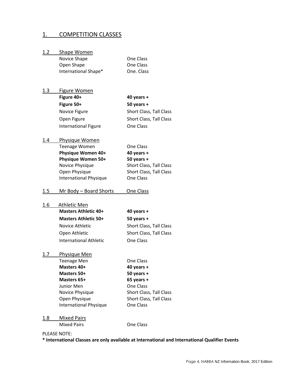# 1. **COMPETITION CLASSES**

| 1.2        | <b>Shape Women</b>                             |                                             |
|------------|------------------------------------------------|---------------------------------------------|
|            | Novice Shape                                   | One Class                                   |
|            | Open Shape                                     | <b>One Class</b>                            |
|            | International Shape*                           | One. Class                                  |
|            |                                                |                                             |
| 1.3        | <u>Figure Women</u>                            |                                             |
|            | Figure 40+                                     | 40 years $+$                                |
|            | Figure 50+                                     | $50$ years +                                |
|            | Novice Figure                                  | Short Class, Tall Class                     |
|            | Open Figure                                    | Short Class, Tall Class                     |
|            | <b>International Figure</b>                    | One Class                                   |
| 1.4        | Physique Women                                 |                                             |
|            | <b>Teenage Women</b>                           | <b>One Class</b>                            |
|            | Physique Women 40+                             | 40 years +                                  |
|            | Physique Women 50+                             | $50$ years +                                |
|            | Novice Physique                                | Short Class, Tall Class                     |
|            | Open Physique                                  | Short Class, Tall Class                     |
|            | <b>International Physique</b>                  | <b>One Class</b>                            |
| 1.5        | <u>Mr Body - Board Shorts</u>                  | <b>One Class</b>                            |
| 1.6        | <b>Athletic Men</b>                            |                                             |
|            | <b>Masters Athletic 40+</b>                    | 40 years +                                  |
|            | <b>Masters Athletic 50+</b>                    | $50$ years +                                |
|            | <b>Novice Athletic</b>                         | Short Class, Tall Class                     |
|            | Open Athletic                                  | Short Class, Tall Class                     |
|            | <b>International Athletic</b>                  | <b>One Class</b>                            |
| <u>1.7</u> | Physique Men                                   |                                             |
|            | Teenage Men                                    | One Class                                   |
|            | Masters 40+                                    | 40 years +                                  |
|            | Masters 50+                                    | $50$ years +                                |
|            | Masters 65+                                    | $65$ years +                                |
|            | Junior Men                                     | One Class                                   |
|            | Novice Physique                                | Short Class, Tall Class                     |
|            | Open Physique<br><b>International Physique</b> | Short Class, Tall Class<br><b>One Class</b> |
|            |                                                |                                             |
|            |                                                |                                             |

1.8 Mixed Pairs

Mixed Pairs **CONEY CONEY CONEY CONEY CONEY CONEY** 

PLEASE NOTE:

**\* International Classes are only available at International and International Qualifier Events**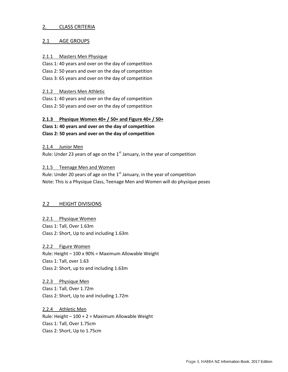# 2. CLASS CRITERIA

# 2.1 AGE GROUPS

#### 2.1.1 Masters Men Physique

Class 1: 40 years and over on the day of competition Class 2: 50 years and over on the day of competition Class 3: 65 years and over on the day of competition

# 2.1.2 Masters Men Athletic

Class 1: 40 years and over on the day of competition Class 2: 50 years and over on the day of competition

# **2.1.3 Physique Women 40+ / 50+ and Figure 40+ / 50+**

# **Class 1: 40 years and over on the day of competition Class 2: 50 years and over on the day of competition**

2.1.4 Junior Men

Rule: Under 23 years of age on the  $1<sup>st</sup>$  January, in the year of competition

# 2.1.5 Teenage Men and Women

Rule: Under 20 years of age on the  $1<sup>st</sup>$  January, in the year of competition Note: This is a Physique Class, Teenage Men and Women will do physique poses

# 2.2 HEIGHT DIVISIONS

2.2.1 Physique Women Class 1: Tall, Over 1.63m Class 2: Short, Up to and including 1.63m

# 2.2.2 Figure Women

Rule: Height – 100 x 90% = Maximum Allowable Weight Class 1: Tall, over 1.63 Class 2: Short, up to and including 1.63m

2.2.3 Physique Men Class 1: Tall, Over 1.72m Class 2: Short, Up to and including 1.72m

# 2.2.4 Athletic Men Rule: Height – 100 + 2 = Maximum Allowable Weight Class 1: Tall, Over 1.75cm Class 2: Short, Up to 1.75cm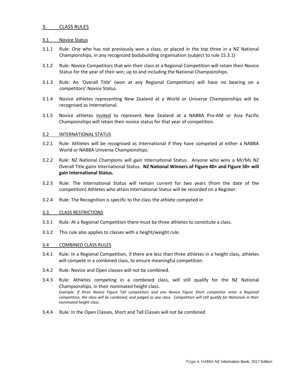# 3. CLASS RULES

#### 3.1 Novice Status

- 3.1.1 Rule: One who has not previously won a class, or placed in the top three in a NZ National Championships, in any recognized bodybuilding organisation (subject to rule 15.3.1)
- 3.1.2 Rule: Novice Competitors that win their class at a Regional Competition will retain their Novice Status for the year of their win; up to and including the National Championships.
- 3.1.3 Rule: An 'Overall Title' (won at any Regional Competition) will have no bearing on a competitors' Novice Status.
- 3.1.4 Novice athletes representing New Zealand at a World or Universe Championships will be recognised as International.
- 3.1.5 Novice athletes invited to represent New Zealand at a NABBA Pro-AM or Asia Pacific Championships will retain their novice status for that year of competition.

#### 3.2 INTERNATIONAL STATUS

- 3.2.1 Rule: Athletes will be recognised as International if they have competed at either a NABBA World or NABBA Universe Championships.
- 3.2.2 Rule: NZ National Champions will gain International Status. Anyone who wins a Mr/Ms NZ Overall Title gains International Status. **NZ National Winners of Figure 40+ and Figure 50+ will gain International Status.**
- 3.2.3 Rule: The International Status will remain current for two years (from the date of the competition) Athletes who attain International Status will be recorded on a Register.
- 3.2.4 Rule: The Recognition is specific to the class the athlete competed in

#### 3.3 CLASS RESTRICTIONS

- 3.3.1 Rule: At a Regional Competition there must be three athletes to constitute a class.
- 3.3.2 This rule also applies to classes with a height/weight rule.

#### 3.4 COMBINED CLASS RULES

- 3.4.1 Rule: In a Regional Competition, if there are less than three athletes in a height class, athletes will compete in a combined class, to ensure meaningful competition.
- 3.4.2 Rule: Novice and Open classes will not be combined.
- 3.4.3 Rule: Athletes competing in a combined class, will still qualify for the NZ National Championships, in their nominated height class. *Example: If three Novice Figure Tall competitors and one Novice Figure Short competitor enter a Regional competition, the class will be combined, and judged as one class. Competitors will still qualify for Nationals in their nominated height class.*
- 3.4.4 Rule: In the Open Classes, Short and Tall Classes will not be combined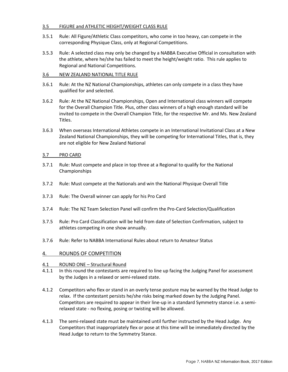# 3.5 FIGURE and ATHLETIC HEIGHT/WEIGHT CLASS RULE

- 3.5.1 Rule: All Figure/Athletic Class competitors, who come in too heavy, can compete in the corresponding Physique Class, only at Regional Competitions.
- 3.5.3 Rule: A selected class may only be changed by a NABBA Executive Official in consultation with the athlete, where he/she has failed to meet the height/weight ratio. This rule applies to Regional and National Competitions.

# 3.6 NEW ZEALAND NATIONAL TITLE RULE

- 3.6.1 Rule: At the NZ National Championships, athletes can only compete in a class they have qualified for and selected.
- 3.6.2 Rule: At the NZ National Championships, Open and International class winners will compete for the Overall Champion Title. Plus, other class winners of a high enough standard will be invited to compete in the Overall Champion Title, for the respective Mr. and Ms. New Zealand Titles.
- 3.6.3 When overseas International Athletes compete in an International Invitational Class at a New Zealand National Championships, they will be competing for International Titles, that is, they are not eligible for New Zealand National

# 3.7 PRO CARD

- 3.7.1 Rule: Must compete and place in top three at a Regional to qualify for the National Championships
- 3.7.2 Rule: Must compete at the Nationals and win the National Physique Overall Title
- 3.7.3 Rule: The Overall winner can apply for his Pro Card
- 3.7.4 Rule: The NZ Team Selection Panel will confirm the Pro-Card Selection/Qualification
- 3.7.5 Rule: Pro Card Classification will be held from date of Selection Confirmation, subject to athletes competing in one show annually.
- 3.7.6 Rule: Refer to NABBA International Rules about return to Amateur Status

# 4. ROUNDS OF COMPETITION

- 4.1 ROUND ONE Structural Round
- 4.1.1 In this round the contestants are required to line up facing the Judging Panel for assessment by the Judges in a relaxed or semi-relaxed state.
- 4.1.2 Competitors who flex or stand in an overly tense posture may be warned by the Head Judge to relax. If the contestant persists he/she risks being marked down by the Judging Panel. Competitors are required to appear in their line-up in a standard Symmetry stance i.e. a semirelaxed state - no flexing, posing or twisting will be allowed.
- 4.1.3 The semi-relaxed state must be maintained until further instructed by the Head Judge. Any Competitors that inappropriately flex or pose at this time will be immediately directed by the Head Judge to return to the Symmetry Stance.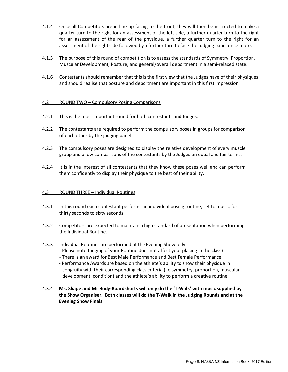- 4.1.4 Once all Competitors are in line up facing to the front, they will then be instructed to make a quarter turn to the right for an assessment of the left side, a further quarter turn to the right for an assessment of the rear of the physique, a further quarter turn to the right for an assessment of the right side followed by a further turn to face the judging panel once more.
- 4.1.5 The purpose of this round of competition is to assess the standards of Symmetry, Proportion, Muscular Development, Posture, and general/overall deportment in a semi-relaxed state.
- 4.1.6 Contestants should remember that this is the first view that the Judges have of their physiques and should realise that posture and deportment are important in this first impression

# 4.2 ROUND TWO – Compulsory Posing Comparisons

- 4.2.1 This is the most important round for both contestants and Judges.
- 4.2.2 The contestants are required to perform the compulsory poses in groups for comparison of each other by the judging panel.
- 4.2.3 The compulsory poses are designed to display the relative development of every muscle group and allow comparisons of the contestants by the Judges on equal and fair terms.
- 4.2.4 It is in the interest of all contestants that they know these poses well and can perform them confidently to display their physique to the best of their ability.

#### 4.3 ROUND THREE – Individual Routines

- 4.3.1 In this round each contestant performs an individual posing routine, set to music, for thirty seconds to sixty seconds.
- 4.3.2 Competitors are expected to maintain a high standard of presentation when performing the Individual Routine.
- 4.3.3 Individual Routines are performed at the Evening Show only.
	- Please note Judging of your Routine does not affect your placing in the class)
	- There is an award for Best Male Performance and Best Female Performance
	- Performance Awards are based on the athlete's ability to show their physique in congruity with their corresponding class criteria (i.e symmetry, proportion, muscular development, condition) and the athlete's ability to perform a creative routine.
- 4.3.4 **Ms. Shape and Mr Body-Boardshorts will only do the 'T-Walk' with music supplied by the Show Organiser. Both classes will do the T-Walk in the Judging Rounds and at the Evening Show Finals**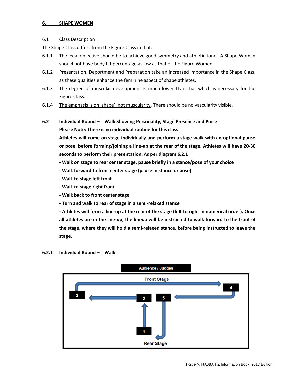# **6. SHAPE WOMEN**

#### 6.1 Class Description

The Shape Class differs from the Figure Class in that:

- 6.1.1 The ideal objective should be to achieve good symmetry and athletic tone. A Shape Woman should not have body fat percentage as low as that of the Figure Women
- 6.1.2 Presentation, Deportment and Preparation take an increased importance in the Shape Class, as these qualities enhance the feminine aspect of shape athletes.
- 6.1.3 The degree of muscular development is much lower than that which is necessary for the Figure Class.
- 6.1.4 The emphasis is on 'shape', not muscularity. There should be no vascularity visible.

# **6.2 Individual Round – T Walk Showing Personality, Stage Presence and Poise**

**Please Note: There is no individual routine for this class** 

**Athletes will come on stage individually and perform a stage walk with an optional pause or pose, before forming/joining a line-up at the rear of the stage. Athletes will have 20-30 seconds to perform their presentation: As per diagram 6.2.1** 

- **- Walk on stage to rear center stage, pause briefly in a stance/pose of your choice**
- **- Walk forward to front center stage (pause in stance or pose)**
- **- Walk to stage left front**
- **- Walk to stage right front**
- **- Walk back to front center stage**
- **- Turn and walk to rear of stage in a semi-relaxed stance**

**- Athletes will form a line-up at the rear of the stage (left to right in numerical order). Once all athletes are in the line-up, the lineup will be instructed to walk forward to the front of the stage, where they will hold a semi-relaxed stance, before being instructed to leave the stage.** 



**6.2.1 Individual Round – T Walk**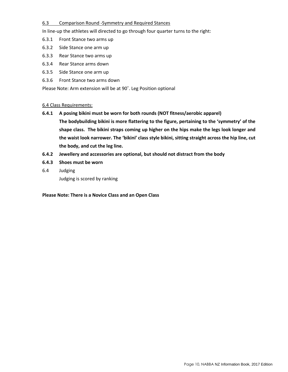# 6.3 Comparison Round -Symmetry and Required Stances

In line-up the athletes will directed to go through four quarter turns to the right:

- 6.3.1 Front Stance two arms up
- 6.3.2 Side Stance one arm up
- 6.3.3 Rear Stance two arms up
- 6.3.4 Rear Stance arms down
- 6.3.5 Side Stance one arm up
- 6.3.6 Front Stance two arms down

Please Note: Arm extension will be at 90˚. Leg Position optional

# 6.4 Class Requirements:

- **6.4.1 A posing bikini must be worn for both rounds (NOT fitness/aerobic apparel) The bodybuilding bikini is more flattering to the figure, pertaining to the 'symmetry' of the shape class. The bikini straps coming up higher on the hips make the legs look longer and the waist look narrower. The 'bikini' class style bikini, sitting straight across the hip line, cut the body, and cut the leg line.**
- **6.4.2 Jewellery and accessories are optional, but should not distract from the body**
- **6.4.3 Shoes must be worn**
- 6.4 Judging Judging is scored by ranking

# **Please Note: There is a Novice Class and an Open Class**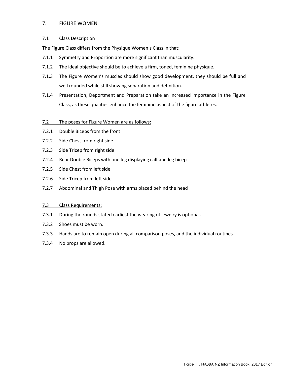# 7. FIGURE WOMEN

#### 7.1 Class Description

The Figure Class differs from the Physique Women's Class in that:

- 7.1.1 Symmetry and Proportion are more significant than muscularity.
- 7.1.2 The ideal objective should be to achieve a firm, toned, feminine physique.
- 7.1.3 The Figure Women's muscles should show good development, they should be full and well rounded while still showing separation and definition.
- 7.1.4 Presentation, Deportment and Preparation take an increased importance in the Figure Class, as these qualities enhance the feminine aspect of the figure athletes.

# 7.2 The poses for Figure Women are as follows:

- 7.2.1 Double Biceps from the front
- 7.2.2 Side Chest from right side
- 7.2.3 Side Tricep from right side
- 7.2.4 Rear Double Biceps with one leg displaying calf and leg bicep
- 7.2.5 Side Chest from left side
- 7.2.6 Side Tricep from left side
- 7.2.7 Abdominal and Thigh Pose with arms placed behind the head

#### 7.3 Class Requirements:

- 7.3.1 During the rounds stated earliest the wearing of jewelry is optional.
- 7.3.2 Shoes must be worn.
- 7.3.3 Hands are to remain open during all comparison poses, and the individual routines.
- 7.3.4 No props are allowed.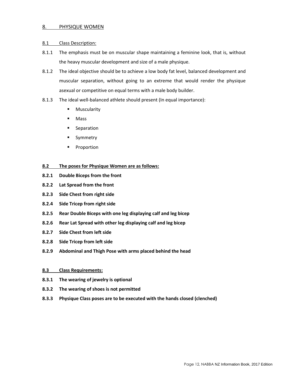# 8. PHYSIQUE WOMEN

#### 8.1 Class Description:

- 8.1.1 The emphasis must be on muscular shape maintaining a feminine look, that is, without the heavy muscular development and size of a male physique.
- 8.1.2 The ideal objective should be to achieve a low body fat level, balanced development and muscular separation, without going to an extreme that would render the physique asexual or competitive on equal terms with a male body builder.
- 8.1.3 The ideal well-balanced athlete should present (In equal importance):
	- **Muscularity**
	- Mass
	- **Separation**
	- **Symmetry**
	- **Proportion**

#### **8.2 The poses for Physique Women are as follows:**

- **8.2.1 Double Biceps from the front**
- **8.2.2 Lat Spread from the front**
- **8.2.3 Side Chest from right side**
- **8.2.4 Side Tricep from right side**
- **8.2.5 Rear Double Biceps with one leg displaying calf and leg bicep**
- **8.2.6 Rear Lat Spread with other leg displaying calf and leg bicep**
- **8.2.7 Side Chest from left side**
- **8.2.8 Side Tricep from left side**
- **8.2.9 Abdominal and Thigh Pose with arms placed behind the head**

#### **8.3 Class Requirements:**

- **8.3.1 The wearing of jewelry is optional**
- **8.3.2 The wearing of shoes is not permitted**
- **8.3.3 Physique Class poses are to be executed with the hands closed (clenched)**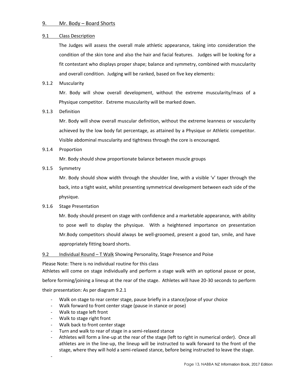# 9. Mr. Body – Board Shorts

# 9.1 Class Description

The Judges will assess the overall male athletic appearance, taking into consideration the condition of the skin tone and also the hair and facial features. Judges will be looking for a fit contestant who displays proper shape; balance and symmetry, combined with muscularity and overall condition. Judging will be ranked, based on five key elements:

# 9.1.2 Muscularity

Mr. Body will show overall development, without the extreme muscularity/mass of a Physique competitor. Extreme muscularity will be marked down.

# 9.1.3 Definition

Mr. Body will show overall muscular definition, without the extreme leanness or vascularity achieved by the low body fat percentage, as attained by a Physique or Athletic competitor. Visible abdominal muscularity and tightness through the core is encouraged.

9.1.4 Proportion

Mr. Body should show proportionate balance between muscle groups

# 9.1.5 Symmetry

Mr. Body should show width through the shoulder line, with a visible 'v' taper through the back, into a tight waist, whilst presenting symmetrical development between each side of the physique.

# 9.1.6 Stage Presentation

Mr. Body should present on stage with confidence and a marketable appearance, with ability to pose well to display the physique. With a heightened importance on presentation Mr.Body competitors should always be well-groomed, present a good tan, smile, and have appropriately fitting board shorts.

# 9.2 Individual Round – T Walk Showing Personality, Stage Presence and Poise

Please Note: There is no individual routine for this class

Athletes will come on stage individually and perform a stage walk with an optional pause or pose,

before forming/joining a lineup at the rear of the stage. Athletes will have 20-30 seconds to perform

their presentation: As per diagram 9.2.1

- Walk on stage to rear center stage, pause briefly in a stance/pose of your choice
- Walk forward to front center stage (pause in stance or pose)
- Walk to stage left front
- Walk to stage right front

-

- Walk back to front center stage
- Turn and walk to rear of stage in a semi-relaxed stance
- Athletes will form a line-up at the rear of the stage (left to right in numerical order). Once all athletes are in the line-up, the lineup will be instructed to walk forward to the front of the stage, where they will hold a semi-relaxed stance, before being instructed to leave the stage.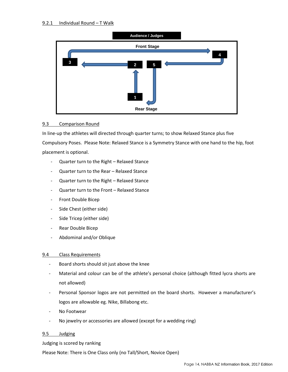

# 9.3 Comparison Round

In line-up the athletes will directed through quarter turns; to show Relaxed Stance plus five Compulsory Poses. Please Note: Relaxed Stance is a Symmetry Stance with one hand to the hip, foot placement is optional.

- Quarter turn to the Right Relaxed Stance
- Quarter turn to the Rear Relaxed Stance
- Quarter turn to the Right Relaxed Stance
- Quarter turn to the Front Relaxed Stance
- Front Double Bicep
- Side Chest (either side)
- Side Tricep (either side)
- Rear Double Bicep
- Abdominal and/or Oblique

#### 9.4 Class Requirements

- Board shorts should sit just above the knee
- Material and colour can be of the athlete's personal choice (although fitted lycra shorts are not allowed)
- Personal Sponsor logos are not permitted on the board shorts. However a manufacturer's logos are allowable eg. Nike, Billabong etc.
- No Footwear
- No jewelry or accessories are allowed (except for a wedding ring)

#### 9.5 Judging

Judging is scored by ranking

Please Note: There is One Class only (no Tall/Short, Novice Open)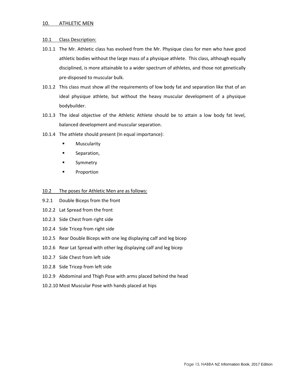# 10. ATHLETIC MEN

#### 10.1 Class Description:

- 10.1.1 The Mr. Athletic class has evolved from the Mr. Physique class for men who have good athletic bodies without the large mass of a physique athlete. This class, although equally disciplined, is more attainable to a wider spectrum of athletes, and those not genetically pre-disposed to muscular bulk.
- 10.1.2 This class must show all the requirements of low body fat and separation like that of an ideal physique athlete, but without the heavy muscular development of a physique bodybuilder.
- 10.1.3 The ideal objective of the Athletic Athlete should be to attain a low body fat level, balanced development and muscular separation.
- 10.1.4 The athlete should present (In equal importance):
	- **E** Muscularity
	- **Separation,**
	- **Symmetry**
	- **Proportion**

#### 10.2 The poses for Athletic Men are as follows:

- 9.2.1 Double Biceps from the front
- 10.2.2 Lat Spread from the front
- 10.2.3 Side Chest from right side
- 10.2.4 Side Tricep from right side
- 10.2.5 Rear Double Biceps with one leg displaying calf and leg bicep
- 10.2.6 Rear Lat Spread with other leg displaying calf and leg bicep
- 10.2.7 Side Chest from left side
- 10.2.8 Side Tricep from left side
- 10.2.9 Abdominal and Thigh Pose with arms placed behind the head
- 10.2.10 Most Muscular Pose with hands placed at hips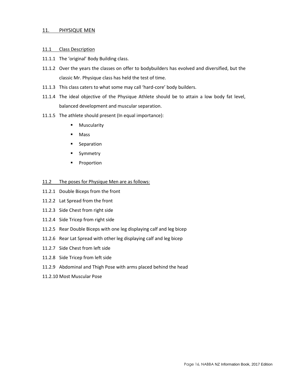#### 11. PHYSIQUE MEN

#### 11.1 Class Description

- 11.1.1 The 'original' Body Building class.
- 11.1.2 Over the years the classes on offer to bodybuilders has evolved and diversified, but the classic Mr. Physique class has held the test of time.
- 11.1.3 This class caters to what some may call 'hard-core' body builders.
- 11.1.4 The ideal objective of the Physique Athlete should be to attain a low body fat level, balanced development and muscular separation.
- 11.1.5 The athlete should present (In equal importance):
	- **Muscularity**
	- Mass
	- Separation
	- Symmetry
	- Proportion

#### 11.2 The poses for Physique Men are as follows:

- 11.2.1 Double Biceps from the front
- 11.2.2 Lat Spread from the front
- 11.2.3 Side Chest from right side
- 11.2.4 Side Tricep from right side
- 11.2.5 Rear Double Biceps with one leg displaying calf and leg bicep
- 11.2.6 Rear Lat Spread with other leg displaying calf and leg bicep
- 11.2.7 Side Chest from left side
- 11.2.8 Side Tricep from left side
- 11.2.9 Abdominal and Thigh Pose with arms placed behind the head
- 11.2.10 Most Muscular Pose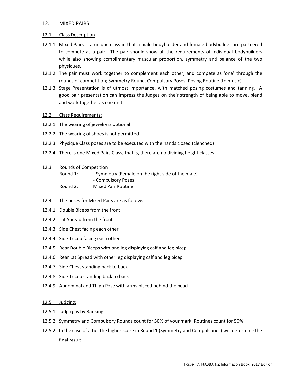# 12. MIXED PAIRS

#### 12.1 Class Description

- 12.1.1 Mixed Pairs is a unique class in that a male bodybuilder and female bodybuilder are partnered to compete as a pair. The pair should show all the requirements of individual bodybuilders while also showing complimentary muscular proportion, symmetry and balance of the two physiques.
- 12.1.2 The pair must work together to complement each other, and compete as 'one' through the rounds of competition; Symmetry Round, Compulsory Poses, Posing Routine (to music)
- 12.1.3 Stage Presentation is of utmost importance, with matched posing costumes and tanning. A good pair presentation can impress the Judges on their strength of being able to move, blend and work together as one unit.

#### 12.2 Class Requirements:

- 12.2.1 The wearing of jewelry is optional
- 12.2.2 The wearing of shoes is not permitted
- 12.2.3 Physique Class poses are to be executed with the hands closed (clenched)
- 12.2.4 There is one Mixed Pairs Class, that is, there are no dividing height classes

#### 12.3 Rounds of Competition

| Round 1: | - Symmetry (Female on the right side of the male) |
|----------|---------------------------------------------------|
|          | - Compulsory Poses                                |
| Round 2: | <b>Mixed Pair Routine</b>                         |

#### 12.4 The poses for Mixed Pairs are as follows:

- 12.4.1 Double Biceps from the front
- 12.4.2 Lat Spread from the front
- 12.4.3 Side Chest facing each other
- 12.4.4 Side Tricep facing each other
- 12.4.5 Rear Double Biceps with one leg displaying calf and leg bicep
- 12.4.6 Rear Lat Spread with other leg displaying calf and leg bicep
- 12.4.7 Side Chest standing back to back
- 12.4.8 Side Tricep standing back to back
- 12.4.9 Abdominal and Thigh Pose with arms placed behind the head

#### 12.5 Judging:

- 12.5.1 Judging is by Ranking.
- 12.5.2 Symmetry and Compulsory Rounds count for 50% of your mark, Routines count for 50%
- 12.5.2 In the case of a tie, the higher score in Round 1 (Symmetry and Compulsories) will determine the final result.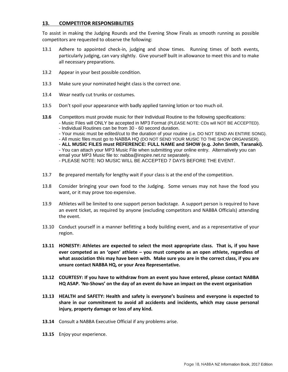# **13. COMPETITOR RESPONSIBILITIES**

To assist in making the Judging Rounds and the Evening Show Finals as smooth running as possible competitors are requested to observe the following:

- 13.1 Adhere to appointed check-in, judging and show times. Running times of both events, particularly judging, can vary slightly. Give yourself built in allowance to meet this and to make all necessary preparations.
- 13.2 Appear in your best possible condition.
- 13.3 Make sure your nominated height class is the correct one.
- 13.4 Wear neatly cut trunks or costumes.
- 13.5 Don't spoil your appearance with badly applied tanning lotion or too much oil.
- **13.6** Competitors must provide music for their Individual Routine to the following specifications: - Music Files will ONLY be accepted in MP3 Format (PLEASE NOTE: CDs will NOT BE ACCEPTED). - Individual Routines can be from 30 - 60 second duration. - Your music must be edited/cut to the duration of your routine (i.e. DO NOT SEND AN ENTIRE SONG). - All music files must go to NABBA HQ (DO NOT SEND YOUR MUSIC TO THE SHOW ORGANISER).
	- **ALL MUSIC FILES must REFERENCE: FULL NAME and SHOW (e.g. John Smith, Taranaki).**

- You can attach your MP3 Music File when submitting your online entry. Alternatively you can email your MP3 Music file to: [nabba@inspire.net.nz](mailto:nabba@inspire.net.nz?subject=Mp3%20Music%20File) separately.

- PLEASE NOTE: NO MUSIC WILL BE ACCEPTED 7 DAYS BEFORE THE EVENT.

- 13.7 Be prepared mentally for lengthy wait if your class is at the end of the competition.
- 13.8 Consider bringing your own food to the Judging. Some venues may not have the food you want, or it may prove too expensive.
- 13.9 Athletes will be limited to one support person backstage. A support person is required to have an event ticket, as required by anyone (excluding competitors and NABBA Officials) attending the event.
- 13.10 Conduct yourself in a manner befitting a body building event, and as a representative of your region.
- **13.11 HONESTY: Athletes are expected to select the most appropriate class. That is, if you have ever competed as an 'open' athlete – you must compete as an open athlete, regardless of what association this may have been with. Make sure you are in the correct class, if you are unsure contact NABBA HQ, or your Area Representative.**
- **13.12 COURTESY: If you have to withdraw from an event you have entered, please contact NABBA HQ ASAP. 'No-Shows' on the day of an event do have an impact on the event organisation**
- **13.13 HEALTH and SAFETY: Health and safety is everyone's business and everyone is expected to share in our commitment to avoid all accidents and incidents, which may cause personal injury, property damage or loss of any kind.**
- **13.14** Consult a NABBA Executive Official if any problems arise.
- **13.15** Enjoy your experience.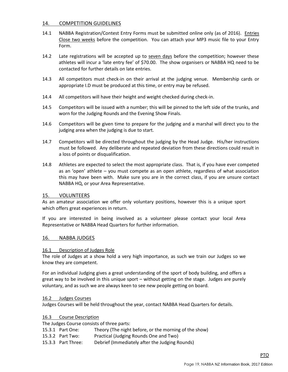# 14. COMPETITION GUIDELINES

- 14.1 NABBA Registration/Contest Entry Forms must be submitted online only (as of 2016). Entries Close two weeks before the competition. You can attach your MP3 music file to your Entry Form.
- 14.2 Late registrations will be accepted up to seven days before the competition; however these athletes will incur a 'late entry fee' of \$70.00. The show organisers or NABBA HQ need to be contacted for further details on late entries.
- 14.3 All competitors must check-in on their arrival at the judging venue. Membership cards or appropriate I.D must be produced at this time, or entry may be refused.
- 14.4 All competitors will have their height and weight checked during check-in.
- 14.5 Competitors will be issued with a number; this will be pinned to the left side of the trunks, and worn for the Judging Rounds and the Evening Show Finals.
- 14.6 Competitors will be given time to prepare for the judging and a marshal will direct you to the judging area when the judging is due to start.
- 14.7 Competitors will be directed throughout the judging by the Head Judge. His/her instructions must be followed. Any deliberate and repeated deviation from these directions could result in a loss of points or disqualification.
- 14.8 Athletes are expected to select the most appropriate class. That is, if you have ever competed as an 'open' athlete – you must compete as an open athlete, regardless of what association this may have been with. Make sure you are in the correct class, if you are unsure contact NABBA HQ, or your Area Representative.

# 15. VOLUNTEERS

As an amateur association we offer only voluntary positions, however this is a unique sport which offers great experiences in return.

If you are interested in being involved as a volunteer please contact your local Area Representative or NABBA Head Quarters for further information.

# 16. NABBA JUDGES

# 16.1 Description of Judges Role

The role of Judges at a show hold a very high importance, as such we train our Judges so we know they are competent.

For an individual Judging gives a great understanding of the sport of body building, and offers a great way to be involved in this unique sport – without getting on the stage. Judges are purely voluntary, and as such we are always keen to see new people getting on board.

# 16.2 Judges Courses

Judges Courses will be held throughout the year, contact NABBA Head Quarters for details.

16.3 Course Description

The Judges Course consists of three parts:

- 15.3.1 Part One: Theory (The night before, or the morning of the show)
- 15.3.2 Part Two: Practical (Judging Rounds One and Two)
- 15.3.3 Part Three: Debrief (Immediately after the Judging Rounds)